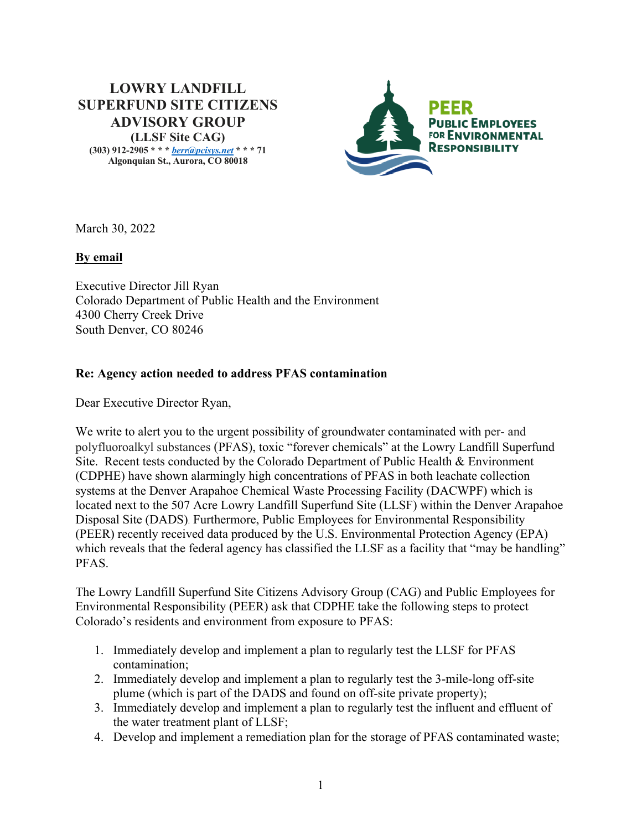# **LOWRY LANDFILL SUPERFUND SITE CITIZENS ADVISORY GROUP (LLSF Site CAG)**

**(303) 912-2905 \* \* \*** *berr@pcisys.net* **\* \* \* 71 Algonquian St., Aurora, CO 80018**



March 30, 2022

## **By email**

Executive Director Jill Ryan Colorado Department of Public Health and the Environment 4300 Cherry Creek Drive South Denver, CO 80246

## **Re: Agency action needed to address PFAS contamination**

Dear Executive Director Ryan,

We write to alert you to the urgent possibility of groundwater contaminated with per- and polyfluoroalkyl substances (PFAS), toxic "forever chemicals" at the Lowry Landfill Superfund Site. Recent tests conducted by the Colorado Department of Public Health & Environment (CDPHE) have shown alarmingly high concentrations of PFAS in both leachate collection systems at the Denver Arapahoe Chemical Waste Processing Facility (DACWPF) which is located next to the 507 Acre Lowry Landfill Superfund Site (LLSF) within the Denver Arapahoe Disposal Site (DADS). Furthermore, Public Employees for Environmental Responsibility (PEER) recently received data produced by the U.S. Environmental Protection Agency (EPA) which reveals that the federal agency has classified the LLSF as a facility that "may be handling" PFAS.

The Lowry Landfill Superfund Site Citizens Advisory Group (CAG) and Public Employees for Environmental Responsibility (PEER) ask that CDPHE take the following steps to protect Colorado's residents and environment from exposure to PFAS:

- 1. Immediately develop and implement a plan to regularly test the LLSF for PFAS contamination;
- 2. Immediately develop and implement a plan to regularly test the 3-mile-long off-site plume (which is part of the DADS and found on off-site private property);
- 3. Immediately develop and implement a plan to regularly test the influent and effluent of the water treatment plant of LLSF;
- 4. Develop and implement a remediation plan for the storage of PFAS contaminated waste;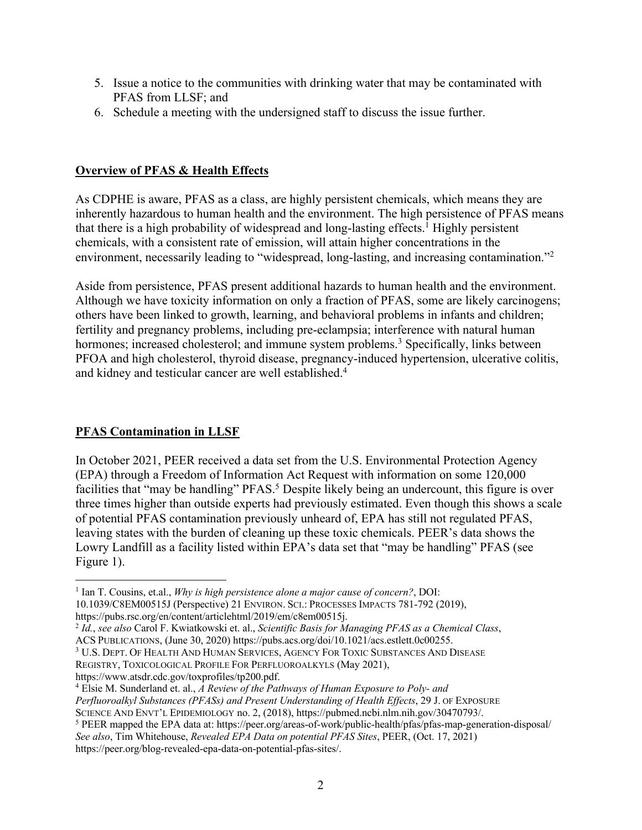- 5. Issue a notice to the communities with drinking water that may be contaminated with PFAS from LLSF; and
- 6. Schedule a meeting with the undersigned staff to discuss the issue further.

## **Overview of PFAS & Health Effects**

As CDPHE is aware, PFAS as a class, are highly persistent chemicals, which means they are inherently hazardous to human health and the environment. The high persistence of PFAS means that there is a high probability of widespread and long-lasting effects.<sup>1</sup> Highly persistent chemicals, with a consistent rate of emission, will attain higher concentrations in the environment, necessarily leading to "widespread, long-lasting, and increasing contamination."<sup>2</sup>

Aside from persistence, PFAS present additional hazards to human health and the environment. Although we have toxicity information on only a fraction of PFAS, some are likely carcinogens; others have been linked to growth, learning, and behavioral problems in infants and children; fertility and pregnancy problems, including pre-eclampsia; interference with natural human hormones; increased cholesterol; and immune system problems.<sup>3</sup> Specifically, links between PFOA and high cholesterol, thyroid disease, pregnancy-induced hypertension, ulcerative colitis, and kidney and testicular cancer are well established.4

# **PFAS Contamination in LLSF**

In October 2021, PEER received a data set from the U.S. Environmental Protection Agency (EPA) through a Freedom of Information Act Request with information on some 120,000 facilities that "may be handling" PFAS.<sup>5</sup> Despite likely being an undercount, this figure is over three times higher than outside experts had previously estimated. Even though this shows a scale of potential PFAS contamination previously unheard of, EPA has still not regulated PFAS, leaving states with the burden of cleaning up these toxic chemicals. PEER's data shows the Lowry Landfill as a facility listed within EPA's data set that "may be handling" PFAS (see Figure 1).

<sup>3</sup> U.S. DEPT. OF HEALTH AND HUMAN SERVICES, AGENCY FOR TOXIC SUBSTANCES AND DISEASE

REGISTRY, TOXICOLOGICAL PROFILE FOR PERFLUOROALKYLS (May 2021),

https://www.atsdr.cdc.gov/toxprofiles/tp200.pdf.

https://peer.org/blog-revealed-epa-data-on-potential-pfas-sites/.

<sup>1</sup> Ian T. Cousins, et.al., *Why is high persistence alone a major cause of concern?*, DOI: 10.1039/C8EM00515J (Perspective) 21 ENVIRON. SCI.: PROCESSES IMPACTS 781-792 (2019), https://pubs.rsc.org/en/content/articlehtml/2019/em/c8em00515j.

<sup>2</sup> *Id.*, *see also* Carol F. Kwiatkowski et. al., *Scientific Basis for Managing PFAS as a Chemical Class*, ACS PUBLICATIONS, (June 30, 2020) https://pubs.acs.org/doi/10.1021/acs.estlett.0c00255.

<sup>4</sup> Elsie M. Sunderland et. al., *A Review of the Pathways of Human Exposure to Poly- and Perfluoroalkyl Substances (PFASs) and Present Understanding of Health Effects*, 29 J. OF EXPOSURE SCIENCE AND ENVT'L EPIDEMIOLOGY no. 2, (2018), https://pubmed.ncbi.nlm.nih.gov/30470793/.

<sup>5</sup> PEER mapped the EPA data at: https://peer.org/areas-of-work/public-health/pfas/pfas-map-generation-disposal/ *See also*, Tim Whitehouse, *Revealed EPA Data on potential PFAS Sites*, PEER, (Oct. 17, 2021)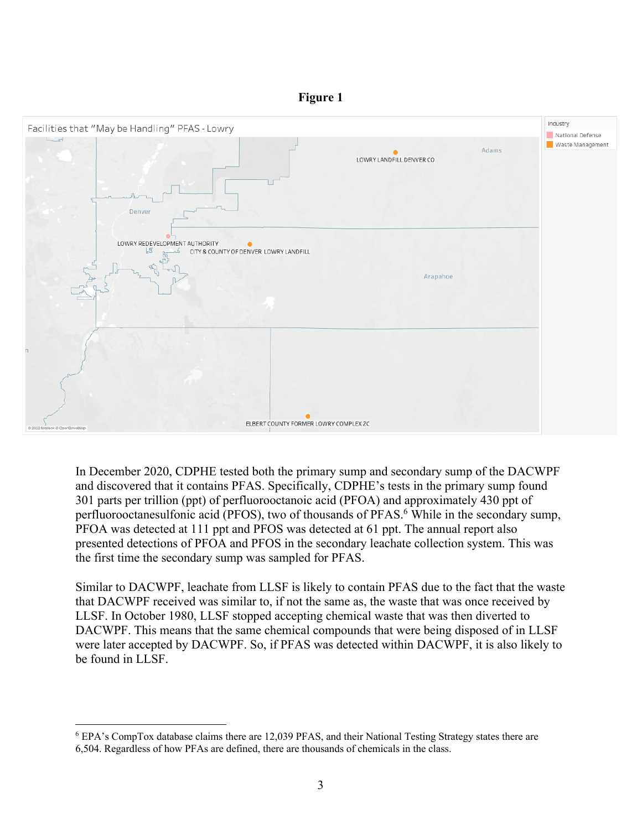#### **Figure 1**



In December 2020, CDPHE tested both the primary sump and secondary sump of the DACWPF and discovered that it contains PFAS. Specifically, CDPHE's tests in the primary sump found 301 parts per trillion (ppt) of perfluorooctanoic acid (PFOA) and approximately 430 ppt of perfluorooctanesulfonic acid (PFOS), two of thousands of PFAS.<sup>6</sup> While in the secondary sump, PFOA was detected at 111 ppt and PFOS was detected at 61 ppt. The annual report also presented detections of PFOA and PFOS in the secondary leachate collection system. This was the first time the secondary sump was sampled for PFAS.

Similar to DACWPF, leachate from LLSF is likely to contain PFAS due to the fact that the waste that DACWPF received was similar to, if not the same as, the waste that was once received by LLSF. In October 1980, LLSF stopped accepting chemical waste that was then diverted to DACWPF. This means that the same chemical compounds that were being disposed of in LLSF were later accepted by DACWPF. So, if PFAS was detected within DACWPF, it is also likely to be found in LLSF.

<sup>6</sup> EPA's CompTox database claims there are 12,039 PFAS, and their National Testing Strategy states there are 6,504. Regardless of how PFAs are defined, there are thousands of chemicals in the class.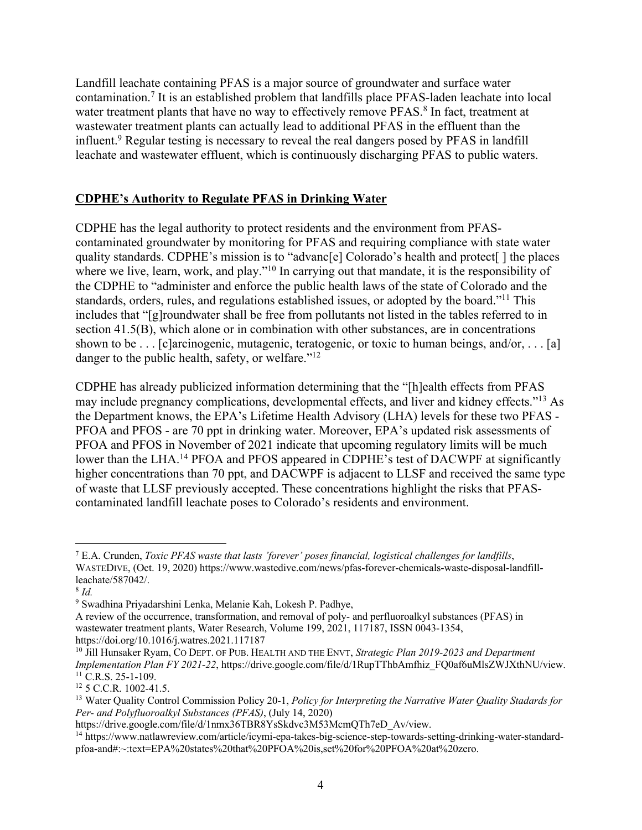Landfill leachate containing PFAS is a major source of groundwater and surface water contamination.7 It is an established problem that landfills place PFAS-laden leachate into local water treatment plants that have no way to effectively remove PFAS.<sup>8</sup> In fact, treatment at wastewater treatment plants can actually lead to additional PFAS in the effluent than the influent.<sup>9</sup> Regular testing is necessary to reveal the real dangers posed by PFAS in landfill leachate and wastewater effluent, which is continuously discharging PFAS to public waters.

## **CDPHE's Authority to Regulate PFAS in Drinking Water**

CDPHE has the legal authority to protect residents and the environment from PFAScontaminated groundwater by monitoring for PFAS and requiring compliance with state water quality standards. CDPHE's mission is to "advanc[e] Colorado's health and protect[ ] the places where we live, learn, work, and play."<sup>10</sup> In carrying out that mandate, it is the responsibility of the CDPHE to "administer and enforce the public health laws of the state of Colorado and the standards, orders, rules, and regulations established issues, or adopted by the board."11 This includes that "[g]roundwater shall be free from pollutants not listed in the tables referred to in section 41.5(B), which alone or in combination with other substances, are in concentrations shown to be  $\dots$  [c]arcinogenic, mutagenic, teratogenic, or toxic to human beings, and/or,  $\dots$  [a] danger to the public health, safety, or welfare."<sup>12</sup>

CDPHE has already publicized information determining that the "[h]ealth effects from PFAS may include pregnancy complications, developmental effects, and liver and kidney effects."13 As the Department knows, the EPA's Lifetime Health Advisory (LHA) levels for these two PFAS - PFOA and PFOS - are 70 ppt in drinking water. Moreover, EPA's updated risk assessments of PFOA and PFOS in November of 2021 indicate that upcoming regulatory limits will be much lower than the LHA.<sup>14</sup> PFOA and PFOS appeared in CDPHE's test of DACWPF at significantly higher concentrations than 70 ppt, and DACWPF is adjacent to LLSF and received the same type of waste that LLSF previously accepted. These concentrations highlight the risks that PFAScontaminated landfill leachate poses to Colorado's residents and environment.

<sup>7</sup> E.A. Crunden, *Toxic PFAS waste that lasts 'forever' poses financial, logistical challenges for landfills*, WASTEDIVE, (Oct. 19, 2020) https://www.wastedive.com/news/pfas-forever-chemicals-waste-disposal-landfillleachate/587042/.

<sup>8</sup> *Id.*

<sup>9</sup> Swadhina Priyadarshini Lenka, Melanie Kah, Lokesh P. Padhye,

A review of the occurrence, transformation, and removal of poly- and perfluoroalkyl substances (PFAS) in wastewater treatment plants, Water Research, Volume 199, 2021, 117187, ISSN 0043-1354, https://doi.org/10.1016/j.watres.2021.117187

<sup>10</sup> Jill Hunsaker Ryam, CO DEPT. OF PUB. HEALTH AND THE ENVT, *Strategic Plan 2019-2023 and Department Implementation Plan FY 2021-22*, https://drive.google.com/file/d/1RupTThbAmfhiz\_FQ0af6uMlsZWJXthNU/view.  $11$  C.R.S. 25-1-109.

<sup>&</sup>lt;sup>12</sup> 5 C.C.R. 1002-41.5.

<sup>13</sup> Water Quality Control Commission Policy 20-1, *Policy for Interpreting the Narrative Water Quality Stadards for Per- and Polyfluoroalkyl Substances (PFAS)*, (July 14, 2020)

https://drive.google.com/file/d/1nmx36TBR8YsSkdvc3M53McmQTh7eD\_Av/view.

<sup>14</sup> https://www.natlawreview.com/article/icymi-epa-takes-big-science-step-towards-setting-drinking-water-standardpfoa-and#:~:text=EPA%20states%20that%20PFOA%20is,set%20for%20PFOA%20at%20zero.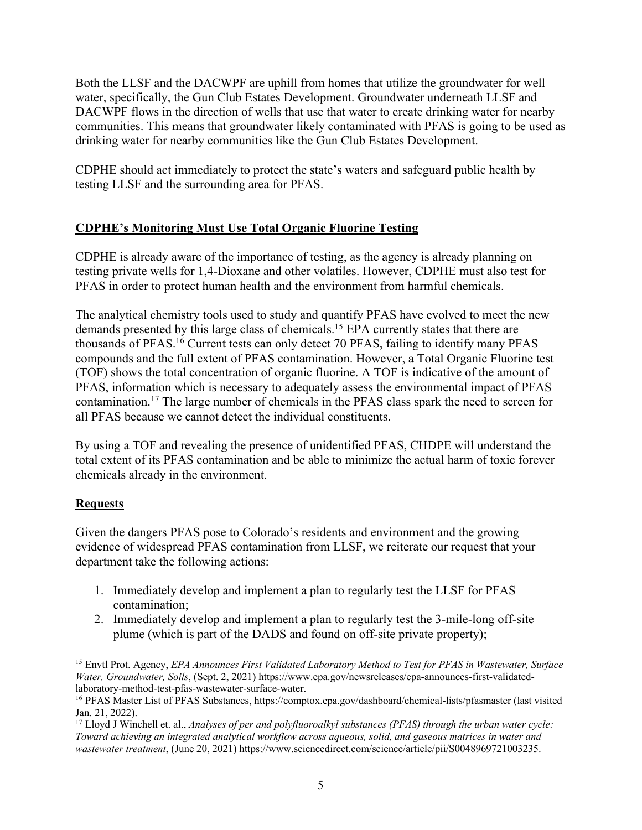Both the LLSF and the DACWPF are uphill from homes that utilize the groundwater for well water, specifically, the Gun Club Estates Development. Groundwater underneath LLSF and DACWPF flows in the direction of wells that use that water to create drinking water for nearby communities. This means that groundwater likely contaminated with PFAS is going to be used as drinking water for nearby communities like the Gun Club Estates Development.

CDPHE should act immediately to protect the state's waters and safeguard public health by testing LLSF and the surrounding area for PFAS.

# **CDPHE's Monitoring Must Use Total Organic Fluorine Testing**

CDPHE is already aware of the importance of testing, as the agency is already planning on testing private wells for 1,4-Dioxane and other volatiles. However, CDPHE must also test for PFAS in order to protect human health and the environment from harmful chemicals.

The analytical chemistry tools used to study and quantify PFAS have evolved to meet the new demands presented by this large class of chemicals.15 EPA currently states that there are thousands of PFAS.16 Current tests can only detect 70 PFAS, failing to identify many PFAS compounds and the full extent of PFAS contamination. However, a Total Organic Fluorine test (TOF) shows the total concentration of organic fluorine. A TOF is indicative of the amount of PFAS, information which is necessary to adequately assess the environmental impact of PFAS contamination.17 The large number of chemicals in the PFAS class spark the need to screen for all PFAS because we cannot detect the individual constituents.

By using a TOF and revealing the presence of unidentified PFAS, CHDPE will understand the total extent of its PFAS contamination and be able to minimize the actual harm of toxic forever chemicals already in the environment.

# **Requests**

Given the dangers PFAS pose to Colorado's residents and environment and the growing evidence of widespread PFAS contamination from LLSF, we reiterate our request that your department take the following actions:

- 1. Immediately develop and implement a plan to regularly test the LLSF for PFAS contamination;
- 2. Immediately develop and implement a plan to regularly test the 3-mile-long off-site plume (which is part of the DADS and found on off-site private property);

<sup>15</sup> Envtl Prot. Agency, *EPA Announces First Validated Laboratory Method to Test for PFAS in Wastewater, Surface Water, Groundwater, Soils*, (Sept. 2, 2021) https://www.epa.gov/newsreleases/epa-announces-first-validatedlaboratory-method-test-pfas-wastewater-surface-water.

<sup>16</sup> PFAS Master List of PFAS Substances, https://comptox.epa.gov/dashboard/chemical-lists/pfasmaster (last visited Jan. 21, 2022).

<sup>17</sup> Lloyd J Winchell et. al., *Analyses of per and polyfluoroalkyl substances (PFAS) through the urban water cycle: Toward achieving an integrated analytical workflow across aqueous, solid, and gaseous matrices in water and wastewater treatment*, (June 20, 2021) https://www.sciencedirect.com/science/article/pii/S0048969721003235.